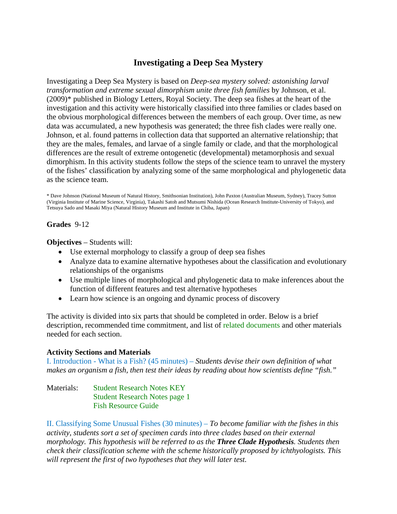# **Investigating a Deep Sea Mystery**

Investigating a Deep Sea Mystery is based on *Deep-sea mystery solved: astonishing larval transformation and extreme sexual dimorphism unite three fish families* by Johnson, et al. (2009)\* published in Biology Letters, Royal Society. The deep sea fishes at the heart of the investigation and this activity were historically classified into three families or clades based on the obvious morphological differences between the members of each group. Over time, as new data was accumulated, a new hypothesis was generated; the three fish clades were really one. Johnson, et al. found patterns in collection data that supported an alternative relationship; that they are the males, females, and larvae of a single family or clade, and that the morphological differences are the result of extreme ontogenetic (developmental) metamorphosis and sexual dimorphism. In this activity students follow the steps of the science team to unravel the mystery of the fishes' classification by analyzing some of the same morphological and phylogenetic data as the science team.

\* Dave Johnson (National Museum of Natural History, Smithsonian Institution), John Paxton (Australian Museum, Sydney), Tracey Sutton (Virginia Institute of Marine Science, Virginia), Takashi Satoh and Mutsumi Nishida (Ocean Research Institute-University of Tokyo), and Tetsuya Sado and Masaki Miya (Natural History Museum and Institute in Chiba, Japan)

# **Grades** 9-12

**Objectives** – Students will:

- Use external morphology to classify a group of deep sea fishes
- Analyze data to examine alternative hypotheses about the classification and evolutionary relationships of the organisms
- Use multiple lines of morphological and phylogenetic data to make inferences about the function of different features and test alternative hypotheses
- Learn how science is an ongoing and dynamic process of discovery

The activity is divided into six parts that should be completed in order. Below is a brief description, recommended time commitment, and list of related documents and other materials needed for each section.

### **Activity Sections and Materials**

I. Introduction - What is a Fish? (45 minutes) – *Students devise their own definition of what makes an organism a fish, then test their ideas by reading about how scientists define "fish."*

Materials: Student Research Notes KEY Student Research Notes page 1 Fish Resource Guide

II. Classifying Some Unusual Fishes (30 minutes) – *To become familiar with the fishes in this activity, students sort a set of specimen cards into three clades based on their external morphology. This hypothesis will be referred to as the Three Clade Hypothesis. Students then check their classification scheme with the scheme historically proposed by ichthyologists. This will represent the first of two hypotheses that they will later test.*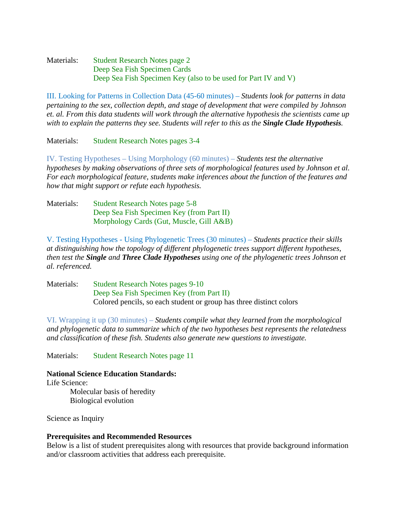Materials: Student Research Notes page 2 Deep Sea Fish Specimen Cards Deep Sea Fish Specimen Key (also to be used for Part IV and V)

III. Looking for Patterns in Collection Data (45-60 minutes) – *Students look for patterns in data pertaining to the sex, collection depth, and stage of development that were compiled by Johnson et. al. From this data students will work through the alternative hypothesis the scientists came up with to explain the patterns they see. Students will refer to this as the Single Clade Hypothesis.*

Materials: Student Research Notes pages 3-4

IV. Testing Hypotheses – Using Morphology (60 minutes) – *Students test the alternative hypotheses by making observations of three sets of morphological features used by Johnson et al. For each morphological feature, students make inferences about the function of the features and how that might support or refute each hypothesis.*

Materials: Student Research Notes page 5-8 Deep Sea Fish Specimen Key (from Part II) Morphology Cards (Gut, Muscle, Gill A&B)

V. Testing Hypotheses - Using Phylogenetic Trees (30 minutes) – *Students practice their skills at distinguishing how the topology of different phylogenetic trees support different hypotheses, then test the Single and Three Clade Hypotheses using one of the phylogenetic trees Johnson et al. referenced.*

Materials: Student Research Notes pages 9-10 Deep Sea Fish Specimen Key (from Part II) Colored pencils, so each student or group has three distinct colors

VI. Wrapping it up (30 minutes) – *Students compile what they learned from the morphological and phylogenetic data to summarize which of the two hypotheses best represents the relatedness and classification of these fish. Students also generate new questions to investigate.*

Materials: Student Research Notes page 11

### **National Science Education Standards:**

Life Science:

Molecular basis of heredity Biological evolution

Science as Inquiry

### **Prerequisites and Recommended Resources**

Below is a list of student prerequisites along with resources that provide background information and/or classroom activities that address each prerequisite.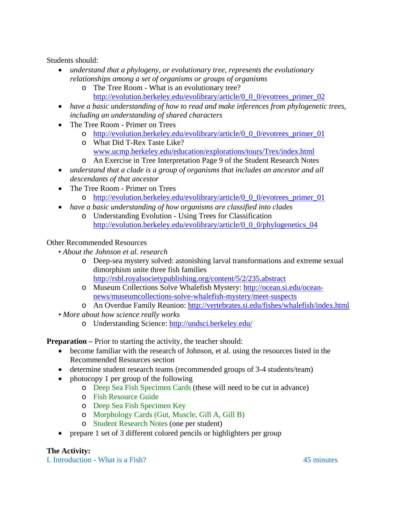Students should:

- *understand that a phylogeny, or evolutionary tree, represents the evolutionary relationships among a set of organisms or groups of organisms*
	- o The Tree Room What is an evolutionary tree? [http://evolution.berkeley.edu/evolibrary/article/0\\_0\\_0/evotrees\\_primer\\_02](http://evolution.berkeley.edu/evolibrary/article/0_0_0/evotrees_primer_02)
- *have a basic understanding of how to read and make inferences from phylogenetic trees, including an understanding of shared characters*
- The Tree Room Primer on Trees
	- o [http://evolution.berkeley.edu/evolibrary/article/0\\_0\\_0/evotrees\\_primer\\_01](http://evolution.berkeley.edu/evolibrary/article/0_0_0/evotrees_primer_01)
	- o What Did T-Rex Taste Like? [www.ucmp.berkeley.edu/education/explorations/tours/Trex/index.html](http://www.ucmp.berkeley.edu/education/explorations/tours/Trex/index.html)
	- o An Exercise in Tree Interpretation Page 9 of the Student Research Notes
- *understand that a clade is a group of organisms that includes an ancestor and all descendants of that ancestor*
- The Tree Room Primer on Trees
	- o [http://evolution.berkeley.edu/evolibrary/article/0\\_0\\_0/evotrees\\_primer\\_01](http://evolution.berkeley.edu/evolibrary/article/0_0_0/evotrees_primer_01)
- *have a basic understanding of how organisms are classified into clades*
	- o Understanding Evolution Using Trees for Classification [http://evolution.berkeley.edu/evolibrary/article/0\\_0\\_0/phylogenetics\\_04](http://evolution.berkeley.edu/evolibrary/article/0_0_0/phylogenetics_04)

# Other Recommended Resources

- *About the Johnson et al. research*
	- o Deep-sea mystery solved: astonishing larval transformations and extreme sexual dimorphism unite three fish families <http://rsbl.royalsocietypublishing.org/content/5/2/235.abstract>
	- o Museum Collections Solve Whalefish Mystery: [http://ocean.si.edu/ocean](http://ocean.si.edu/ocean-news/museumcollections-solve-whalefish-mystery/meet-suspects)[news/museumcollections-solve-whalefish-mystery/meet-suspects](http://ocean.si.edu/ocean-news/museumcollections-solve-whalefish-mystery/meet-suspects)
	- o An Overdue Family Reunion:<http://vertebrates.si.edu/fishes/whalefish/index.html>
- *More about how science really works*
	- o Understanding Science: http://undsci.berkeley.edu/

**Preparation** – Prior to starting the activity, the teacher should:

- become familiar with the research of Johnson, et al. using the resources listed in the Recommended Resources section
- determine student research teams (recommended groups of 3-4 students/team)
- photocopy 1 per group of the following
	- o Deep Sea Fish Specimen Cards (these will need to be cut in advance)
	- o Fish Resource Guide
	- o Deep Sea Fish Specimen Key
	- o Morphology Cards (Gut, Muscle, Gill A, Gill B)
	- o Student Research Notes (one per student)
- prepare 1 set of 3 different colored pencils or highlighters per group

# **The Activity:**

I. Introduction - What is a Fish? 45 minutes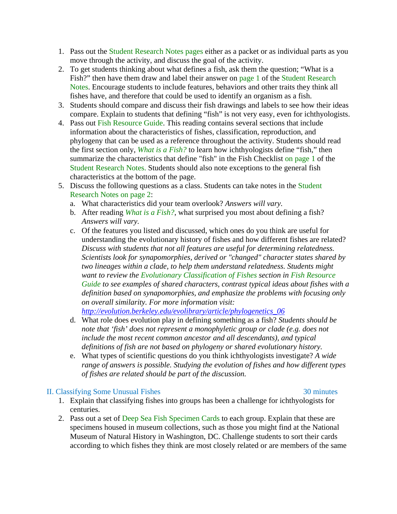- 1. Pass out the Student Research Notes pages either as a packet or as individual parts as you move through the activity, and discuss the goal of the activity.
- 2. To get students thinking about what defines a fish, ask them the question; "What is a Fish?" then have them draw and label their answer on page 1 of the Student Research Notes. Encourage students to include features, behaviors and other traits they think all fishes have, and therefore that could be used to identify an organism as a fish.
- 3. Students should compare and discuss their fish drawings and labels to see how their ideas compare. Explain to students that defining "fish" is not very easy, even for ichthyologists.
- 4. Pass out Fish Resource Guide. This reading contains several sections that include information about the characteristics of fishes, classification, reproduction, and phylogeny that can be used as a reference throughout the activity. Students should read the first section only, *What is a Fish?* to learn how ichthyologists define "fish," then summarize the characteristics that define "fish" in the Fish Checklist on page 1 of the Student Research Notes. Students should also note exceptions to the general fish characteristics at the bottom of the page.
- 5. Discuss the following questions as a class. Students can take notes in the Student Research Notes on page 2:
	- a. What characteristics did your team overlook? *Answers will vary.*
	- b. After reading *What is a Fish?*, what surprised you most about defining a fish? *Answers will vary.*
	- c. Of the features you listed and discussed, which ones do you think are useful for understanding the evolutionary history of fishes and how different fishes are related? *Discuss with students that not all features are useful for determining relatedness. Scientists look for synapomorphies, derived or "changed" character states shared by two lineages within a clade, to help them understand relatedness. Students might want to review the Evolutionary Classification of Fishes section in Fish Resource Guide to see examples of shared characters, contrast typical ideas about fishes with a definition based on synapomorphies, and emphasize the problems with focusing only on overall similarity. For more information visit:*

*[http://evolution.berkeley.edu/evolibrary/article/phylogenetics\\_06](http://evolution.berkeley.edu/evolibrary/article/phylogenetics_06)*

- d. What role does evolution play in defining something as a fish? *Students should be note that 'fish' does not represent a monophyletic group or clade (e.g. does not include the most recent common ancestor and all descendants), and typical definitions of fish are not based on phylogeny or shared evolutionary history.*
- e. What types of scientific questions do you think ichthyologists investigate? *A wide range of answers is possible. Studying the evolution of fishes and how different types of fishes are related should be part of the discussion.*

# II. Classifying Some Unusual Fishes 30 minutes

- 1. Explain that classifying fishes into groups has been a challenge for ichthyologists for centuries.
- 2. Pass out a set of Deep Sea Fish Specimen Cards to each group. Explain that these are specimens housed in museum collections, such as those you might find at the National Museum of Natural History in Washington, DC. Challenge students to sort their cards according to which fishes they think are most closely related or are members of the same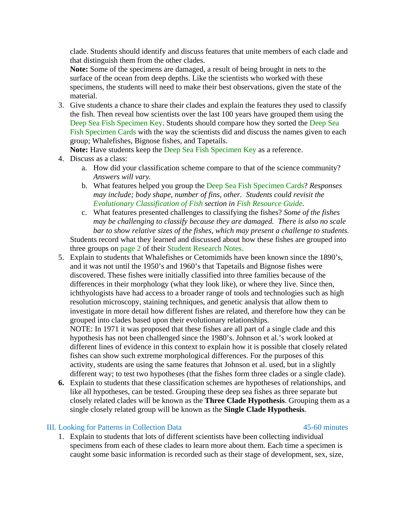clade. Students should identify and discuss features that unite members of each clade and that distinguish them from the other clades.

**Note:** Some of the specimens are damaged, a result of being brought in nets to the surface of the ocean from deep depths. Like the scientists who worked with these specimens, the students will need to make their best observations, given the state of the material.

3. Give students a chance to share their clades and explain the features they used to classify the fish. Then reveal how scientists over the last 100 years have grouped them using the Deep Sea Fish Specimen Key. Students should compare how they sorted the Deep Sea Fish Specimen Cards with the way the scientists did and discuss the names given to each group; Whalefishes, Bignose fishes, and Tapetails.

**Note:** Have students keep the Deep Sea Fish Specimen Key as a reference.

- 4. Discuss as a class:
	- a. How did your classification scheme compare to that of the science community? *Answers will vary.*
	- b. What features helped you group the Deep Sea Fish Specimen Cards? *Responses may include; body shape, number of fins, other. Students could revisit the Evolutionary Classification of Fish section in Fish Resource Guide.*
	- c. What features presented challenges to classifying the fishes? *Some of the fishes may be challenging to classify because they are damaged. There is also no scale bar to show relative sizes of the fishes, which may present a challenge to students.* Students record what they learned and discussed about how these fishes are grouped into three groups on page 2 of their Student Research Notes.
- 5. Explain to students that Whalefishes or Cetomimids have been known since the 1890's, and it was not until the 1950's and 1960's that Tapetails and Bignose fishes were discovered. These fishes were initially classified into three families because of the differences in their morphology (what they look like), or where they live. Since then, ichthyologists have had access to a broader range of tools and technologies such as high resolution microscopy, staining techniques, and genetic analysis that allow them to investigate in more detail how different fishes are related, and therefore how they can be grouped into clades based upon their evolutionary relationships.

NOTE: In 1971 it was proposed that these fishes are all part of a single clade and this hypothesis has not been challenged since the 1980's. Johnson et al.'s work looked at different lines of evidence in this context to explain how it is possible that closely related fishes can show such extreme morphological differences. For the purposes of this activity, students are using the same features that Johnson et al. used, but in a slightly different way; to test two hypotheses (that the fishes form three clades or a single clade).

**6.** Explain to students that these classification schemes are hypotheses of relationships, and like all hypotheses, can be tested. Grouping these deep sea fishes as three separate but closely related clades will be known as the **Three Clade Hypothesis**. Grouping them as a single closely related group will be known as the **Single Clade Hypothesis**.

# III. Looking for Patterns in Collection Data 45-60 minutes

1. Explain to students that lots of different scientists have been collecting individual specimens from each of these clades to learn more about them. Each time a specimen is caught some basic information is recorded such as their stage of development, sex, size,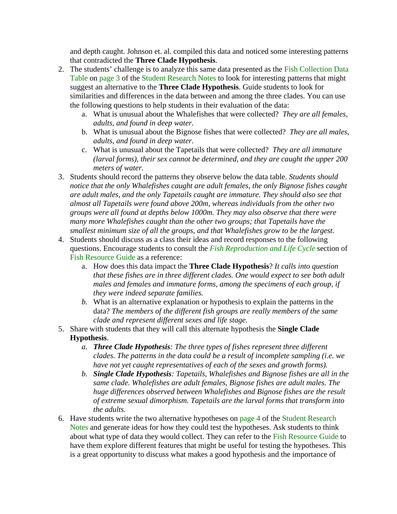and depth caught. Johnson et. al. compiled this data and noticed some interesting patterns that contradicted the **Three Clade Hypothesis**.

- 2. The students' challenge is to analyze this same data presented as the Fish Collection Data Table on page 3 of the Student Research Notes to look for interesting patterns that might suggest an alternative to the **Three Clade Hypothesis**. Guide students to look for similarities and differences in the data between and among the three clades. You can use the following questions to help students in their evaluation of the data:
	- a. What is unusual about the Whalefishes that were collected? *They are all females, adults, and found in deep water.*
	- b. What is unusual about the Bignose fishes that were collected? *They are all males, adults, and found in deep water.*
	- c. What is unusual about the Tapetails that were collected? *They are all immature (larval forms), their sex cannot be determined, and they are caught the upper 200 meters of water.*
- 3. Students should record the patterns they observe below the data table. *Students should notice that the only Whalefishes caught are adult females, the only Bignose fishes caught are adult males, and the only Tapetails caught are immature. They should also see that almost all Tapetails were found above 200m, whereas individuals from the other two groups were all found at depths below 1000m. They may also observe that there were many more Whalefishes caught than the other two groups; that Tapetails have the smallest minimum size of all the groups, and that Whalefishes grow to be the largest.*
- 4. Students should discuss as a class their ideas and record responses to the following questions. Encourage students to consult the *Fish Reproduction and Life Cycle* section of Fish Resource Guide as a reference:
	- a. How does this data impact the **Three Clade Hypothesis**? *It calls into question that these fishes are in three different clades. One would expect to see both adult males and females and immature forms, among the specimens of each group, if they were indeed separate families.*
	- *b.* What is an alternative explanation or hypothesis to explain the patterns in the data? *The members of the different fish groups are really members of the same clade and represent different sexes and life stage.*
- 5. Share with students that they will call this alternate hypothesis the **Single Clade Hypothesis**.
	- *a. Three Clade Hypothesis: The three types of fishes represent three different clades. The patterns in the data could be a result of incomplete sampling (i.e. we have not yet caught representatives of each of the sexes and growth forms).*
	- *b. Single Clade Hypothesis: Tapetails, Whalefishes and Bignose fishes are all in the same clade. Whalefishes are adult females, Bignose fishes are adult males. The huge differences observed between Whalefishes and Bignose fishes are the result of extreme sexual dimorphism. Tapetails are the larval forms that transform into the adults.*
- 6. Have students write the two alternative hypotheses on page 4 of the Student Research Notes and generate ideas for how they could test the hypotheses. Ask students to think about what type of data they would collect. They can refer to the Fish Resource Guide to have them explore different features that might be useful for testing the hypotheses. This is a great opportunity to discuss what makes a good hypothesis and the importance of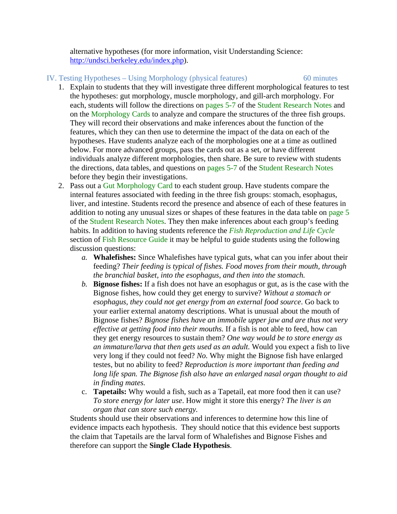alternative hypotheses (for more information, visit Understanding Science: [http://undsci.berkeley.edu/index.php\)](http://undsci.berkeley.edu/index.php).

### IV. Testing Hypotheses – Using Morphology (physical features) 60 minutes

- 1. Explain to students that they will investigate three different morphological features to test the hypotheses: gut morphology, muscle morphology, and gill-arch morphology. For each, students will follow the directions on pages 5-7 of the Student Research Notes and on the Morphology Cards to analyze and compare the structures of the three fish groups. They will record their observations and make inferences about the function of the features, which they can then use to determine the impact of the data on each of the hypotheses. Have students analyze each of the morphologies one at a time as outlined below. For more advanced groups, pass the cards out as a set, or have different individuals analyze different morphologies, then share. Be sure to review with students the directions, data tables, and questions on pages 5-7 of the Student Research Notes before they begin their investigations.
- 2. Pass out a Gut Morphology Card to each student group. Have students compare the internal features associated with feeding in the three fish groups: stomach, esophagus, liver, and intestine. Students record the presence and absence of each of these features in addition to noting any unusual sizes or shapes of these features in the data table on page 5 of the Student Research Notes. They then make inferences about each group's feeding habits. In addition to having students reference the *Fish Reproduction and Life Cycle* section of Fish Resource Guide it may be helpful to guide students using the following discussion questions:
	- *a.* **Whalefishes:** Since Whalefishes have typical guts, what can you infer about their feeding? *Their feeding is typical of fishes. Food moves from their mouth, through the branchial basket, into the esophagus, and then into the stomach.*
	- *b.* **Bignose fishes:** If a fish does not have an esophagus or gut, as is the case with the Bignose fishes, how could they get energy to survive? *Without a stomach or esophagus, they could not get energy from an external food source*. Go back to your earlier external anatomy descriptions. What is unusual about the mouth of Bignose fishes? *Bignose fishes have an immobile upper jaw and are thus not very effective at getting food into their mouths.* If a fish is not able to feed, how can they get energy resources to sustain them? *One way would be to store energy as an immature/larva that then gets used as an adult.* Would you expect a fish to live very long if they could not feed? *No.* Why might the Bignose fish have enlarged testes, but no ability to feed? *Reproduction is more important than feeding and long life span. The Bignose fish also have an enlarged nasal organ thought to aid in finding mates.*
	- c. **Tapetails:** Why would a fish, such as a Tapetail, eat more food then it can use? *To store energy for later use*. How might it store this energy? *The liver is an organ that can store such energy.*

Students should use their observations and inferences to determine how this line of evidence impacts each hypothesis. They should notice that this evidence best supports the claim that Tapetails are the larval form of Whalefishes and Bignose Fishes and therefore can support the **Single Clade Hypothesis**.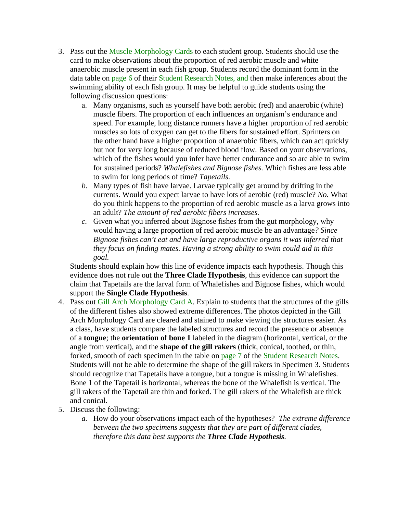- 3. Pass out the Muscle Morphology Cards to each student group. Students should use the card to make observations about the proportion of red aerobic muscle and white anaerobic muscle present in each fish group. Students record the dominant form in the data table on page 6 of their Student Research Notes, and then make inferences about the swimming ability of each fish group. It may be helpful to guide students using the following discussion questions:
	- a. Many organisms, such as yourself have both aerobic (red) and anaerobic (white) muscle fibers. The proportion of each influences an organism's endurance and speed. For example, long distance runners have a higher proportion of red aerobic muscles so lots of oxygen can get to the fibers for sustained effort. Sprinters on the other hand have a higher proportion of anaerobic fibers, which can act quickly but not for very long because of reduced blood flow. Based on your observations, which of the fishes would you infer have better endurance and so are able to swim for sustained periods? *Whalefishes and Bignose fishes.* Which fishes are less able to swim for long periods of time? *Tapetails.*
	- *b.* Many types of fish have larvae. Larvae typically get around by drifting in the currents. Would you expect larvae to have lots of aerobic (red) muscle? *No.* What do you think happens to the proportion of red aerobic muscle as a larva grows into an adult? *The amount of red aerobic fibers increases.*
	- *c.* Given what you inferred about Bignose fishes from the gut morphology, why would having a large proportion of red aerobic muscle be an advantage*? Since Bignose fishes can't eat and have large reproductive organs it was inferred that they focus on finding mates. Having a strong ability to swim could aid in this goal.*

Students should explain how this line of evidence impacts each hypothesis. Though this evidence does not rule out the **Three Clade Hypothesis**, this evidence can support the claim that Tapetails are the larval form of Whalefishes and Bignose fishes, which would support the **Single Clade Hypothesis**.

- 4. Pass out Gill Arch Morphology Card A. Explain to students that the structures of the gills of the different fishes also showed extreme differences. The photos depicted in the Gill Arch Morphology Card are cleared and stained to make viewing the structures easier. As a class, have students compare the labeled structures and record the presence or absence of a **tongue**; the **orientation of bone 1** labeled in the diagram (horizontal, vertical, or the angle from vertical), and the **shape of the gill rakers** (thick, conical, toothed, or thin, forked, smooth of each specimen in the table on page 7 of the Student Research Notes. Students will not be able to determine the shape of the gill rakers in Specimen 3. Students should recognize that Tapetails have a tongue, but a tongue is missing in Whalefishes. Bone 1 of the Tapetail is horizontal, whereas the bone of the Whalefish is vertical. The gill rakers of the Tapetail are thin and forked. The gill rakers of the Whalefish are thick and conical.
- 5. Discuss the following:
	- *a.* How do your observations impact each of the hypotheses? *The extreme difference between the two specimens suggests that they are part of different clades, therefore this data best supports the Three Clade Hypothesis.*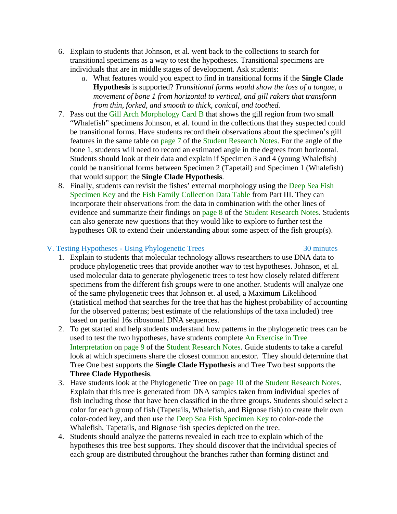- 6. Explain to students that Johnson, et al. went back to the collections to search for transitional specimens as a way to test the hypotheses. Transitional specimens are individuals that are in middle stages of development. Ask students:
	- *a.* What features would you expect to find in transitional forms if the **Single Clade Hypothesis** is supported? *Transitional forms would show the loss of a tongue, a movement of bone 1 from horizontal to vertical, and gill rakers that transform from thin, forked, and smooth to thick, conical, and toothed.*
- 7. Pass out the Gill Arch Morphology Card B that shows the gill region from two small "Whalefish" specimens Johnson, et al. found in the collections that they suspected could be transitional forms. Have students record their observations about the specimen's gill features in the same table on page 7 of the Student Research Notes. For the angle of the bone 1, students will need to record an estimated angle in the degrees from horizontal. Students should look at their data and explain if Specimen 3 and 4 (young Whalefish) could be transitional forms between Specimen 2 (Tapetail) and Specimen 1 (Whalefish) that would support the **Single Clade Hypothesis**.
- 8. Finally, students can revisit the fishes' external morphology using the Deep Sea Fish Specimen Key and the Fish Family Collection Data Table from Part III. They can incorporate their observations from the data in combination with the other lines of evidence and summarize their findings on page 8 of the Student Research Notes. Students can also generate new questions that they would like to explore to further test the hypotheses OR to extend their understanding about some aspect of the fish group(s).

# V. Testing Hypotheses - Using Phylogenetic Trees 30 minutes

- 1. Explain to students that molecular technology allows researchers to use DNA data to produce phylogenetic trees that provide another way to test hypotheses. Johnson, et al. used molecular data to generate phylogenetic trees to test how closely related different specimens from the different fish groups were to one another. Students will analyze one of the same phylogenetic trees that Johnson et. al used, a Maximum Likelihood (statistical method that searches for the tree that has the highest probability of accounting for the observed patterns; best estimate of the relationships of the taxa included) tree based on partial 16s ribosomal DNA sequences.
- 2. To get started and help students understand how patterns in the phylogenetic trees can be used to test the two hypotheses, have students complete An Exercise in Tree Interpretation on page 9 of the Student Research Notes. Guide students to take a careful look at which specimens share the closest common ancestor. They should determine that Tree One best supports the **Single Clade Hypothesis** and Tree Two best supports the **Three Clade Hypothesis**.
- 3. Have students look at the Phylogenetic Tree on page 10 of the Student Research Notes. Explain that this tree is generated from DNA samples taken from individual species of fish including those that have been classified in the three groups. Students should select a color for each group of fish (Tapetails, Whalefish, and Bignose fish) to create their own color-coded key, and then use the Deep Sea Fish Specimen Key to color-code the Whalefish, Tapetails, and Bignose fish species depicted on the tree.
- 4. Students should analyze the patterns revealed in each tree to explain which of the hypotheses this tree best supports. They should discover that the individual species of each group are distributed throughout the branches rather than forming distinct and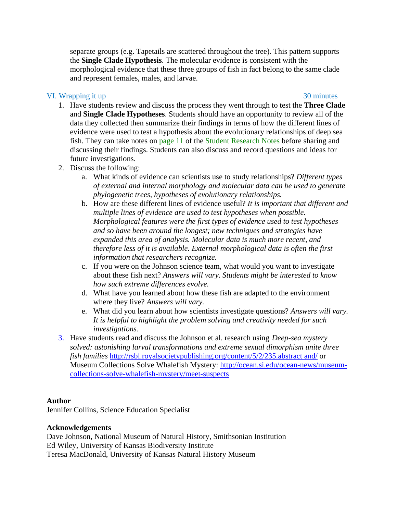separate groups (e.g. Tapetails are scattered throughout the tree). This pattern supports the **Single Clade Hypothesis**. The molecular evidence is consistent with the morphological evidence that these three groups of fish in fact belong to the same clade and represent females, males, and larvae.

# VI. Wrapping it up 30 minutes

- 1. Have students review and discuss the process they went through to test the **Three Clade** and **Single Clade Hypotheses**. Students should have an opportunity to review all of the data they collected then summarize their findings in terms of how the different lines of evidence were used to test a hypothesis about the evolutionary relationships of deep sea fish. They can take notes on page 11 of the Student Research Notes before sharing and discussing their findings. Students can also discuss and record questions and ideas for future investigations.
- 2. Discuss the following:
	- a. What kinds of evidence can scientists use to study relationships? *Different types of external and internal morphology and molecular data can be used to generate phylogenetic trees, hypotheses of evolutionary relationships.*
	- b. How are these different lines of evidence useful? *It is important that different and multiple lines of evidence are used to test hypotheses when possible. Morphological features were the first types of evidence used to test hypotheses and so have been around the longest; new techniques and strategies have expanded this area of analysis. Molecular data is much more recent, and therefore less of it is available. External morphological data is often the first information that researchers recognize.*
	- c. If you were on the Johnson science team, what would you want to investigate about these fish next? *Answers will vary. Students might be interested to know how such extreme differences evolve.*
	- d. What have you learned about how these fish are adapted to the environment where they live? *Answers will vary.*
	- e. What did you learn about how scientists investigate questions? *Answers will vary. It is helpful to highlight the problem solving and creativity needed for such investigations.*
- 3. Have students read and discuss the Johnson et al. research using *Deep-sea mystery solved: astonishing larval transformations and extreme sexual dimorphism unite three fish families* [http://rsbl.royalsocietypublishing.org/content/5/2/235.abstract and/](http://rsbl.royalsocietypublishing.org/content/5/2/235.abstract%20and/) or Museum Collections Solve Whalefish Mystery: [http://ocean.si.edu/ocean-news/museum](http://ocean.si.edu/ocean-news/museum-collections-solve-whalefish-mystery/meet-suspects)[collections-solve-whalefish-mystery/meet-suspects](http://ocean.si.edu/ocean-news/museum-collections-solve-whalefish-mystery/meet-suspects)

# **Author**

Jennifer Collins, Science Education Specialist

### **Acknowledgements**

Dave Johnson, National Museum of Natural History, Smithsonian Institution Ed Wiley, University of Kansas Biodiversity Institute Teresa MacDonald, University of Kansas Natural History Museum